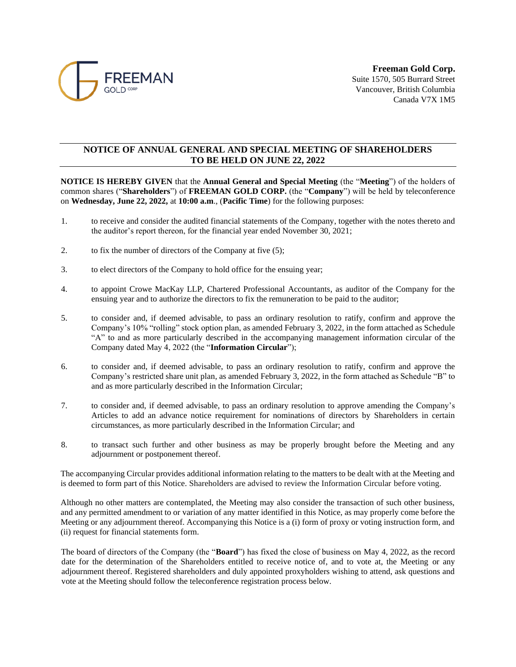

## **NOTICE OF ANNUAL GENERAL AND SPECIAL MEETING OF SHAREHOLDERS TO BE HELD ON JUNE 22, 2022**

**NOTICE IS HEREBY GIVEN** that the **Annual General and Special Meeting** (the "**Meeting**") of the holders of common shares ("**Shareholders**") of **FREEMAN GOLD CORP.** (the "**Company**") will be held by teleconference on **Wednesday, June 22, 2022,** at **10:00 a.m**., (**Pacific Time**) for the following purposes:

- 1. to receive and consider the audited financial statements of the Company, together with the notes thereto and the auditor's report thereon, for the financial year ended November 30, 2021;
- 2. to fix the number of directors of the Company at five (5);
- 3. to elect directors of the Company to hold office for the ensuing year;
- 4. to appoint Crowe MacKay LLP, Chartered Professional Accountants, as auditor of the Company for the ensuing year and to authorize the directors to fix the remuneration to be paid to the auditor;
- 5. to consider and, if deemed advisable, to pass an ordinary resolution to ratify, confirm and approve the Company's 10% "rolling" stock option plan, as amended February 3, 2022, in the form attached as Schedule "A" to and as more particularly described in the accompanying management information circular of the Company dated May 4, 2022 (the "**Information Circular**");
- 6. to consider and, if deemed advisable, to pass an ordinary resolution to ratify, confirm and approve the Company's restricted share unit plan, as amended February 3, 2022, in the form attached as Schedule "B" to and as more particularly described in the Information Circular;
- 7. to consider and, if deemed advisable, to pass an ordinary resolution to approve amending the Company's Articles to add an advance notice requirement for nominations of directors by Shareholders in certain circumstances, as more particularly described in the Information Circular; and
- 8. to transact such further and other business as may be properly brought before the Meeting and any adjournment or postponement thereof.

The accompanying Circular provides additional information relating to the matters to be dealt with at the Meeting and is deemed to form part of this Notice. Shareholders are advised to review the Information Circular before voting.

Although no other matters are contemplated, the Meeting may also consider the transaction of such other business, and any permitted amendment to or variation of any matter identified in this Notice, as may properly come before the Meeting or any adjournment thereof. Accompanying this Notice is a (i) form of proxy or voting instruction form, and (ii) request for financial statements form.

The board of directors of the Company (the "**Board**") has fixed the close of business on May 4, 2022, as the record date for the determination of the Shareholders entitled to receive notice of, and to vote at, the Meeting or any adjournment thereof. Registered shareholders and duly appointed proxyholders wishing to attend, ask questions and vote at the Meeting should follow the teleconference registration process below.